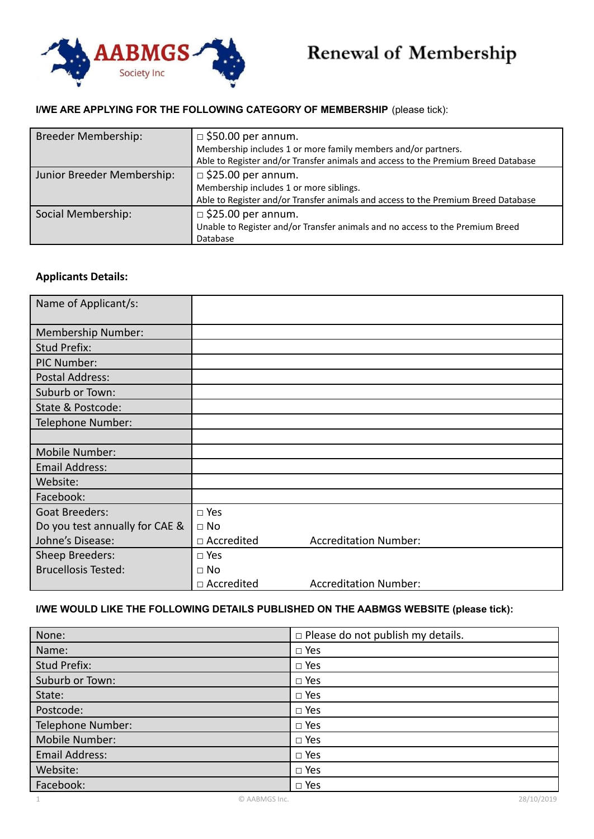

# Renewal of Membership

## **I/WE ARE APPLYING FOR THE FOLLOWING CATEGORY OF MEMBERSHIP** (please tick):

| <b>Breeder Membership:</b> | $\Box$ \$50.00 per annum.<br>Membership includes 1 or more family members and/or partners.<br>Able to Register and/or Transfer animals and access to the Premium Breed Database |
|----------------------------|---------------------------------------------------------------------------------------------------------------------------------------------------------------------------------|
| Junior Breeder Membership: | $\Box$ \$25.00 per annum.<br>Membership includes 1 or more siblings.<br>Able to Register and/or Transfer animals and access to the Premium Breed Database                       |
| Social Membership:         | $\Box$ \$25.00 per annum.<br>Unable to Register and/or Transfer animals and no access to the Premium Breed<br>Database                                                          |

# **Applicants Details:**

| Name of Applicant/s:           |               |                              |
|--------------------------------|---------------|------------------------------|
| Membership Number:             |               |                              |
| <b>Stud Prefix:</b>            |               |                              |
| PIC Number:                    |               |                              |
| Postal Address:                |               |                              |
| Suburb or Town:                |               |                              |
| State & Postcode:              |               |                              |
| Telephone Number:              |               |                              |
|                                |               |                              |
| Mobile Number:                 |               |                              |
| <b>Email Address:</b>          |               |                              |
| Website:                       |               |                              |
| Facebook:                      |               |                              |
| <b>Goat Breeders:</b>          | $\square$ Yes |                              |
| Do you test annually for CAE & | $\Box$ No     |                              |
| Johne's Disease:               | □ Accredited  | <b>Accreditation Number:</b> |
| Sheep Breeders:                | $\square$ Yes |                              |
| <b>Brucellosis Tested:</b>     | $\Box$ No     |                              |
|                                | □ Accredited  | <b>Accreditation Number:</b> |

# **I/WE WOULD LIKE THE FOLLOWING DETAILS PUBLISHED ON THE AABMGS WEBSITE (please tick):**

| None:             | $\Box$ Please do not publish my details. |
|-------------------|------------------------------------------|
| Name:             | $\Box$ Yes                               |
| Stud Prefix:      | $\square$ Yes                            |
| Suburb or Town:   | $\square$ Yes                            |
| State:            | $\Box$ Yes                               |
| Postcode:         | $\square$ Yes                            |
| Telephone Number: | $\square$ Yes                            |
| Mobile Number:    | $\square$ Yes                            |
| Email Address:    | $\Box$ Yes                               |
| Website:          | $\Box$ Yes                               |
| Facebook:         | $\square$ Yes                            |